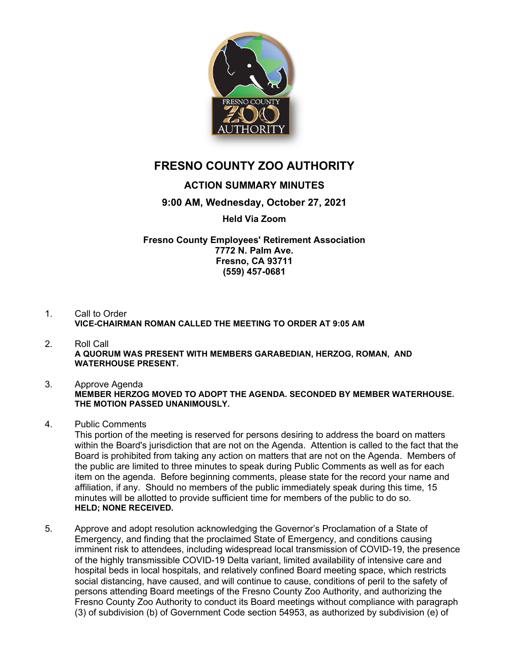

# **FRESNO COUNTY ZOO AUTHORITY**

# **ACTION SUMMARY MINUTES**

## **9:00 AM, Wednesday, October 27, 2021**

### **Held Via Zoom**

#### **Fresno County Employees' Retirement Association 7772 N. Palm Ave. Fresno, CA 93711 (559) 457-0681**

- 1. Call to Order **VICE-CHAIRMAN ROMAN CALLED THE MEETING TO ORDER AT 9:05 AM**
- 2. Roll Call **A QUORUM WAS PRESENT WITH MEMBERS GARABEDIAN, HERZOG, ROMAN, AND WATERHOUSE PRESENT.**
- 3. Approve Agenda **MEMBER HERZOG MOVED TO ADOPT THE AGENDA. SECONDED BY MEMBER WATERHOUSE. THE MOTION PASSED UNANIMOUSLY.**
- 4. Public Comments

This portion of the meeting is reserved for persons desiring to address the board on matters within the Board's jurisdiction that are not on the Agenda. Attention is called to the fact that the Board is prohibited from taking any action on matters that are not on the Agenda. Members of the public are limited to three minutes to speak during Public Comments as well as for each item on the agenda. Before beginning comments, please state for the record your name and affiliation, if any. Should no members of the public immediately speak during this time, 15 minutes will be allotted to provide sufficient time for members of the public to do so. **HELD; NONE RECEIVED.**

5. Approve and adopt resolution acknowledging the Governor's Proclamation of a State of Emergency, and finding that the proclaimed State of Emergency, and conditions causing imminent risk to attendees, including widespread local transmission of COVID-19, the presence of the highly transmissible COVID-19 Delta variant, limited availability of intensive care and hospital beds in local hospitals, and relatively confined Board meeting space, which restricts social distancing, have caused, and will continue to cause, conditions of peril to the safety of persons attending Board meetings of the Fresno County Zoo Authority, and authorizing the Fresno County Zoo Authority to conduct its Board meetings without compliance with paragraph (3) of subdivision (b) of Government Code section 54953, as authorized by subdivision (e) of